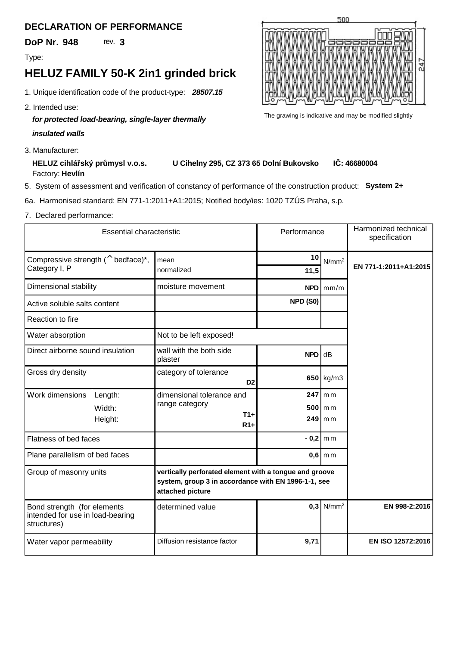## **DECLARATION OF PERFORMANCE**

**DoP Nr. 948** 

Type:

## **HELUZ FAMILY 50-K 2in1 grinded brick**

- *28507.15* 1. Unique identification code of the product-type:
- 2. Intended use:

## *for protected load-bearing, single-layer thermally insulated walls*

3. Manufacturer:

**HELUZ cihlá ský průmysl v.o.s. U Cihelny 295, CZ 373 65 Dolní Bukovsko** Factory: Hevlín **I**: 46680004

- 5. System of assessment and verification of constancy of performance of the construction product:**System 2+**
- 6a. Harmonised standard: EN 771-1:2011+A1:2015; Notified body/ies: 1020 TZÚS Praha, s.p.
- 7. Declared performance:

| <b>Essential characteristic</b>                                                |         | Performance                                                                                                                       |            | Harmonized technical<br>specification |                       |
|--------------------------------------------------------------------------------|---------|-----------------------------------------------------------------------------------------------------------------------------------|------------|---------------------------------------|-----------------------|
| Compressive strength $($ <sup>^</sup> bedface) <sup>*</sup> ,                  |         | mean                                                                                                                              | 10         | N/mm <sup>2</sup>                     | EN 771-1:2011+A1:2015 |
| Category I, P                                                                  |         | normalized                                                                                                                        | 11,5       |                                       |                       |
| Dimensional stability                                                          |         | moisture movement                                                                                                                 |            | $NPD \mid \text{mm/m}$                |                       |
| Active soluble salts content                                                   |         |                                                                                                                                   | NPD (S0)   |                                       |                       |
| Reaction to fire                                                               |         |                                                                                                                                   |            |                                       |                       |
| Water absorption                                                               |         | Not to be left exposed!                                                                                                           |            |                                       |                       |
| Direct airborne sound insulation                                               |         | wall with the both side<br>plaster                                                                                                | <b>NPD</b> | dB                                    |                       |
| Gross dry density                                                              |         | category of tolerance<br>D <sub>2</sub>                                                                                           |            | $650$ kg/m3                           |                       |
| Work dimensions                                                                | Length: | dimensional tolerance and                                                                                                         |            | $247$ mm                              |                       |
|                                                                                | Width:  | range category<br>$T1+$                                                                                                           |            | $500$ m m                             |                       |
|                                                                                | Height: | $R1+$                                                                                                                             |            | $249$ mm                              |                       |
| Flatness of bed faces                                                          |         |                                                                                                                                   |            | $-0,2$ mm                             |                       |
| Plane parallelism of bed faces                                                 |         |                                                                                                                                   | $0,6$ m m  |                                       |                       |
| Group of masonry units                                                         |         | vertically perforated element with a tongue and groove<br>system, group 3 in accordance with EN 1996-1-1, see<br>attached picture |            |                                       |                       |
| Bond strength (for elements<br>intended for use in load-bearing<br>structures) |         | determined value                                                                                                                  | 0.3        | $N/mm^2$                              | EN 998-2:2016         |
| Water vapor permeability                                                       |         | Diffusion resistance factor                                                                                                       | 9,71       |                                       | EN ISO 12572:2016     |



The grawing is indicative and may be modified slightly

**3**